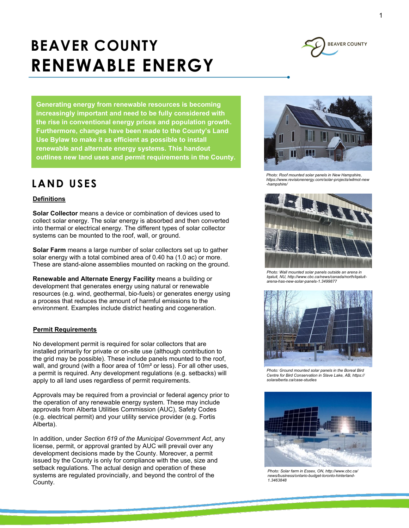# **BEAVER COUNTY RENEWABLE ENERGY**



**Generating energy from renewable resources is becoming increasingly important and need to be fully considered with the rise in conventional energy prices and population growth. Furthermore, changes have been made to the County's Land Use Bylaw to make it as efficient as possible to install renewable and alternate energy systems. This handout outlines new land uses and permit requirements in the County.**

## **LAND USES**

#### **Definitions**

**Solar Collector** means a device or combination of devices used to collect solar energy. The solar energy is absorbed and then converted into thermal or electrical energy. The different types of solar collector systems can be mounted to the roof, wall, or ground.

**Solar Farm** means a large number of solar collectors set up to gather solar energy with a total combined area of 0.40 ha (1.0 ac) or more. These are stand-alone assemblies mounted on racking on the ground.

**Renewable and Alternate Energy Facility** means a building or development that generates energy using natural or renewable resources (e.g. wind, geothermal, bio-fuels) or generates energy using a process that reduces the amount of harmful emissions to the environment. Examples include district heating and cogeneration.

#### **Permit Requirements**

No development permit is required for solar collectors that are installed primarily for private or on-site use (although contribution to the grid may be possible). These include panels mounted to the roof, wall, and ground (with a floor area of 10m² or less). For all other uses, a permit is required. Any development regulations (e.g. setbacks) will apply to all land uses regardless of permit requirements.

Approvals may be required from a provincial or federal agency prior to the operation of any renewable energy system. These may include approvals from Alberta Utilities Commission (AUC), Safety Codes (e.g. electrical permit) and your utility service provider (e.g. Fortis Alberta).

In addition, under *Section 619 of the Municipal Government Act*, any license, permit, or approval granted by AUC will prevail over any development decisions made by the County. Moreover, a permit issued by the County is only for compliance with the use, size and setback regulations. The actual design and operation of these systems are regulated provincially, and beyond the control of the County.



*Photo: Roof mounted solar panels in New Hampshire, https://www.revisionenergy.com/solar-projects/wilmot-new -hampshire/*



*Photo: Wall mounted solar panels outside an arena in Iqaluit, NU, http://www.cbc.ca/news/canada/north/iqaluitarena-has-new-solar-panels-1.3499877*



*Photo: Ground mounted solar panels in the Boreal Bird Centre for Bird Conservation in Slave Lake, AB, https:// solaralberta.ca/case-studies*



*Photo: Solar farm in Essex, ON, http://www.cbc.ca/ news/business/ontario-budget-toronto-hinterland-1.3463848*